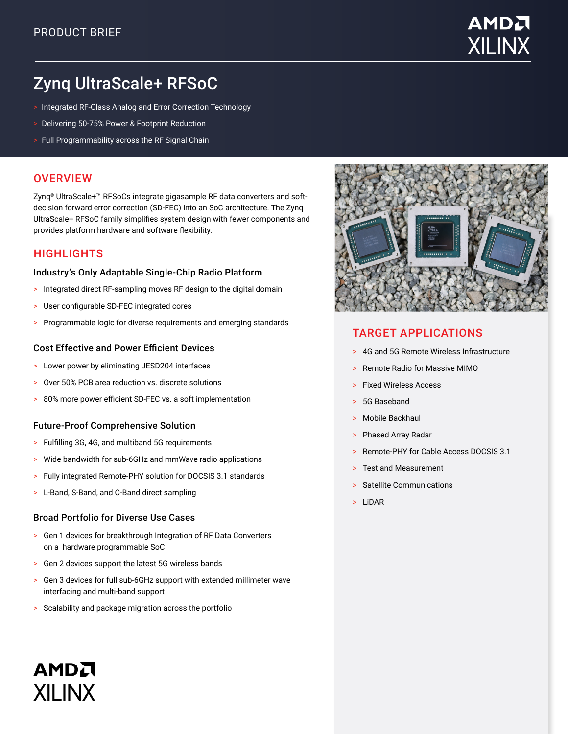

# Zynq UltraScale+ RFSoC

- > Integrated RF-Class Analog and Error Correction Technology
- > Delivering 50-75% Power & Footprint Reduction
- > Full Programmability across the RF Signal Chain

### **OVERVIEW**

Zynq® UltraScale+™ RFSoCs integrate gigasample RF data converters and softdecision forward error correction (SD-FEC) into an SoC architecture. The Zynq UltraScale+ RFSoC family simplifies system design with fewer components and provides platform hardware and software flexibility.

### **HIGHLIGHTS**

#### Industry's Only Adaptable Single-Chip Radio Platform

- > Integrated direct RF-sampling moves RF design to the digital domain
- > User configurable SD-FEC integrated cores
- > Programmable logic for diverse requirements and emerging standards

#### Cost Effective and Power Efficient Devices

- > Lower power by eliminating JESD204 interfaces
- > Over 50% PCB area reduction vs. discrete solutions
- > 80% more power efficient SD-FEC vs. a soft implementation

#### Future-Proof Comprehensive Solution

- > Fulfilling 3G, 4G, and multiband 5G requirements
- > Wide bandwidth for sub-6GHz and mmWave radio applications
- > Fully integrated Remote-PHY solution for DOCSIS 3.1 standards
- > L-Band, S-Band, and C-Band direct sampling

#### Broad Portfolio for Diverse Use Cases

- > Gen 1 devices for breakthrough Integration of RF Data Converters on a hardware programmable SoC
- > Gen 2 devices support the latest 5G wireless bands
- > Gen 3 devices for full sub-6GHz support with extended millimeter wave interfacing and multi-band support
- > Scalability and package migration across the portfolio



## TARGET APPLICATIONS

- > 4G and 5G Remote Wireless Infrastructure
- > Remote Radio for Massive MIMO
- > Fixed Wireless Access
- 5G Baseband
- Mobile Backhaul
- > Phased Array Radar
- > Remote-PHY for Cable Access DOCSIS 3.1
- > Test and Measurement
- Satellite Communications
- > LiDAR

# AMDA **XII INX**